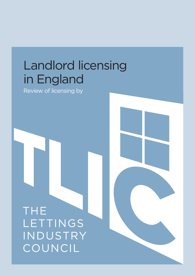# Landlord licensing in England

Review of licensing by

**THE** LETTINGS INDUSTRY COUNCIL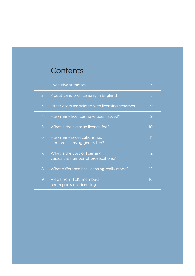## **Contents**

| 1.               | <b>Executive summary</b>                                            | 3  |
|------------------|---------------------------------------------------------------------|----|
| 2.               | About Landlord licensing in England                                 | 5  |
| $\overline{3}$ . | Other costs associated with licensing schemes                       | 9  |
| 4.               | How many licences have been issued?                                 | 9  |
| 5.               | What is the average licence fee?                                    | 10 |
| 6.               | How many prosecutions has<br>landlord licensing generated?          | 11 |
| 7.               | What is the cost of licensing<br>versus the number of prosecutions? | 12 |
| 8.               | What difference has licensing really made?                          | 12 |
| 9.               | <b>Views from TLIC members</b><br>and reports on Licensing          | 16 |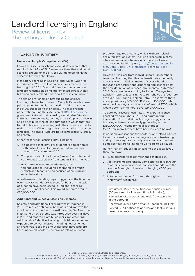Review of licensing by The Lettings Industry Council



## 1. Executive summary

## Houses in Multiple Occupation (HMOs)

Large HMO licensing schemes should stay in areas that require it, but 82% of TLIC members think that additional licensing should go and 81% of TLIC members think that selective licensing should go.<sup>1</sup>

Mandatory licensing in England (and Wales) was first introduced in 2006, following provisions made in the Housing Act 2004. Due to different schemes, such as landlord registration being implemented across Wales, N.Ireland and Scotland, this report focuses on England.

The aim and rationale of introducing the original licensing scheme for Houses in Multiple Occupation was primarily due to the high proportion of fires recorded in HMOs, questioning their safety. In a more recent paper rationalising the extension of **HMO** licensing the government stated that licensing would raise "standards in HMOs more generally, so they are a safe place to live in and do not blight the neighbourhoods in which they are found." This latest paper suggests the current focus is to widen the use of licensing to become a tool to prosecute landlords, in general, who are not letting property legally and safely.

Other reasons for licensing HMOs include: -

- 1. It is believed that HMOs provide the 'poorest homes' , with Oxford council suggesting that within their borough "70% were unsafe".²
- 2. Complaints about the Private Rented Sector to Local Authorities are typically from tenants living in HMOs
- 3. HMOs are believed to be adversely affect neighbourhoods, including generating too much rubbish and tenants being accused of causing antisocial behaviour.

A parliamentary briefing paper suggests at the time that over 40,000 mandatory licences for house in multiple occupation have been issued in England, charging around £500 per licence. This would generate around £20,000,000.

## Additional and Selective Licensing Schemes

Selective and additional licensing was introduced in 2006, to reduce anti-social behaviour and improve the conditions of properties. It is estimated by GetRentr that in England a new scheme was introduced every 13 days in 2018 and that there are 65 councils implementing Additional or Selective licensing, with 28 new schemes expected to convert in 2019, including new schemes and renewals. Scotland and Wales both have landlord licensing for all landlords, so anyone letting a rented

property requires a licence, while Northern Ireland has a registration system.The use of licensing in cores cities and national schemes in Scotland and Wales are explained in this report [\(https://metastreet.co.uk/](https://metastreet.co.uk/files/Core_Cities_UK_Metastreet_licensing_report_Oct_2018.pdf) files/Core\_Cities\_UK\_Metastreet\_licensing\_report [Oct\\_2018.pdf\)](https://metastreet.co.uk/files/Core_Cities_UK_Metastreet_licensing_report_Oct_2018.pdf).

However, it is clear from individual borough numbers issued on licensing that this underestimates the reality, especially with initial estimates of several hundred thousand properties/landlords requiring licences post the new definition of licences implemented in October 2018. For example, according to Richard Tacagni from London Property Licensing, research shows the fees here are over £1,100 for a 5-person HMO. He estimates there are approximately 165,000 HMOs with 100,000 under selective licensing at a lower cost of around £700, which would potentially generate over £140,000,000.

To date, our research estimates the average licence charged by boroughs is £750 and aggregating information from individual boroughs, suggests that licensing schemes are actually generating around £150,000,000 income for local authorities. (see "How many licences have been issued?" below)

In addition, applications for landlords and letting agents to secure licensing are extremely laborious, frustrating and systems vary dramatically across local authorities. Some licences are taking up to 2.5 years to be issued.

Rather than introduce similar schemes at a local level, there are now: -

- 1. Huge discrepancies between the schemes run
- 2. Vast charging differences. Some charge zero through to others charging several thousand pounds, with the London Borough of Lewisham charging £500 per bedroom
- 3. Enforcement varies from zero through to the most in Newham<sup>3</sup> which has: -

Instigated 1,225 prosecutions for housing crimes (60 per cent of all prosecutions in London); Banned 28 of the worst landlords from operating in the borough

Recovered over £3.1m a year in unpaid council tax; Served 2,834 notices to address and tackle serious hazards in rented property.

Source: 1. TLIC Licensing Survey. Based on 64 responses.

2. [https://www.oxford.gov.uk/info/20113/houses\\_in\\_multiple\\_occupation/374/houses\\_in\\_multiple\\_occupation\\_background](https://www.oxford.gov.uk/info/20113/houses_in_multiple_occupation/374/houses_in_multiple_occupation)

3. [https://www.newham.gov.uk/Pages/News/Bad-news-for-rogue-landlords-as-Newham's-property-licensing-scheme-gets-the-green-light.aspx](https://www.newham.gov.uk/Pages/News/Bad-news-for-rogue-landlords-as-Newham’s-property-licensing-scheme-gets-the-green-light.aspx)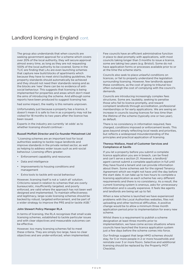The group also understands that when councils are seeking government approval for a scheme which covers over 20% of the local authority, they will secure approval almost every time, as long as they are not requesting 100% of the local authority to be covered. Some in the TLIC are finding that LAs are even launching schemes that capture new build blocks of apartments which because they have to meet strict building guidelines, the property standards should automatically be achieved and they should not need their standards raising and as the blocks are 'new' there can be no evidence of antisocial behaviour. This suggests that licensing is being implemented for properties and areas which don't meet the aims of introducing the scheme. And although some reports have been produced to suggest licensing has

had some impact, the reality is this remains unproven.

Unfortunately just because a property has a licence, it doesn't mean it is safe to live in as a property may not be visited for 18 months to two years after the licence has been issued.

Experts in the industry are currently 'at odds' as to whether licensing should continue: -

## Russell Moffatt Director and Co-founder Metastreet Ltd

"Licensing schemes are an important tool for local authorities seeking to tackle rogue landlords and improve standards in the private rented sector, as well as helping to address wider issues such as anti-social behaviour. Licensing offers greater:

- Enforcement capability and resources
- Data and intelligence
- Improvements to housing conditions and management
- Extra tools to tackle anti-social behaviour

However, licensing itself is not a 'catch all' solution. Criticisms raised in relation to schemes that are overly bureaucratic, insufficiently targeted, and poorly enforced, are valid where the approach has not been well designed and implemented. To maintain effectiveness and legitimacy, large-scale licensing schemes should be backed by robust, targeted enforcement, and be part of a wider strategy to improve the PRS and/or tackle ASB."

## John Stewart Policy Manager RLA

In terms of licensing, the RLA recognises that small scale licensing schemes, established to tackle particular issues and with clear objectives and measurable outcomes can be effective.

However, too many licensing schemes fail to meet these criteria. They are simply too large, have no clear objectives and are under-enforced, when implemented. Few councils have an efficient administrative function in place to deal promptly with applications, with most councils taking longer than 3 months to issue a licence, some are taking two years (e.g. Bristol). Some do not have application forms or processes available prior to or at the time the scheme starts.

Councils also seek to place unlawful conditions on licences, or fail to properly understand the legislation surrounding licensing. However, few landlords appeal these conditions, as the cost of going to tribunal too often outweigh the cost of complying with the council's demands.

Councils are introducing increasingly complex fees structures. Some are, laudably, seeking to penalise those who fail to licence promptly, and reward compliant landlords through accreditation, professional memberships or for early applications. We are seeing an increase in councils issuing licences for less time than the lifetime of the scheme (typically one or two year), as default.

There is no consistency in information required, fees charged, conditions imposed or enforcement levels. This goes beyond simply reflecting local needs and priorities, but reflects a widespread misunderstanding of the principles and practical application of licensing.

#### Theresa Wallace, Head of Customer Services and Compliance at Savills

If you let a property before you submit a complete licence application you are in breach, can be fined and can't serve a section 21. However, a landlord/ agent cannot submit a complete application in full until they have found a tenant and can provide information about them. Some schemes ask for the signed Tenancy Agreement which we might not have until the day before the start date. It can take up to two hours to complete a licensing application as each scheme has very different requirements and there is no consistency. As a result, the current licensing system is onerous, asks for unnecessary information and is usually expensive. It feels like agents and landlords are being set up to fail.

When a new scheme is launched we have experienced problems with the Local Authorities websites, files not uploading and other technical difficulties. A positive change would be to allow a minimum three month application period prior to implementation for every new scheme.

Whilst there is a requirement to publish a scheme designation at least three months prior to implementation, we have come across situations where councils have launched the licence application system just a few days before the scheme comes into force.

Our findings suggest that large HMO schemes should stay, for 5 or more people in 2 or more households and reinstate over 3 or more floors. Selective and additional licensing should be replaced by the Property MOT Checklist.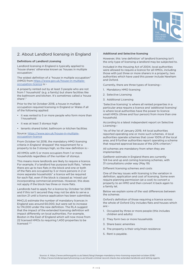

## 2. About Landlord licensing in England

## Definitions of Landlord Licensing

Landlord licensing in England is typically applied to 'house shares' otherwise known as 'houses in multiple occupation.'

The widest definition of a "house in multiple occupation" (HMO) from [https://www.gov.uk/house-in-multiple](https://www.gov.uk/house-in-multiple-occupation-licence)[occupation-licence](https://www.gov.uk/house-in-multiple-occupation-licence) is: -

A property rented out by at least 3 people who are not from 1 'household' (e.g. a family) but share facilities like the bathroom and kitchen. It's sometimes called a 'house share'."

Prior to the 1st October 2018, a house in multiple occupation required licensing in England or Wales if all of the following applied:

- it was rented to 5 or more people who form more than 1 household
- it was at least 3 storeys high
- tenants shared toilet, bathroom or kitchen facilities

Source: [https://www.gov.uk/house-in-multiple](https://www.gov.uk/house-in-multiple-occupation-licence)[occupation-licence](https://www.gov.uk/house-in-multiple-occupation-licence)

From October 1st 2018, the mandatory HMO licensing criteria in England 'dropped' the requirement for a property to be 3 storeys high, so the new definition is: -

All HMOs with 5 or more occupiers from 1 or more households regardless of the number of storeys.

This means more landlords are likely to require a licence. For example, if a landlord has purpose built flats, "where there are up to two flats in the block and one or both of the flats are occupied by 5 or more persons in 2 or more separate households" a licence will be required for each flat, even if the block is classed as 'mixed use' incorporating commercial premises. However, this does not apply if the block has three or more flats.

Landlords had to apply for a licence by October 1st 2018 and if this isn't secured they may not be able to serve a section 21 until a licence application has been submitted.

MHCLG estimate the number of mandatory licences in England was around 60,000, but were set to increase to 174,000 under the new definition. The RLA suggest that the impact of the extended licensing definition will impact differently on local authorities. For example, Boston in the East of England which will now move from 22 licensed HMOs to requiring 1,400 properties to be licensed.<sup>4, 5</sup>

## Additional and Selective licensing

However, this 'one definition' of landlord licensing isn't the only type of licensing a landlord may be subjected to.

Included in the Housing Act of 2004, local authorities were allowed to require a licence for all HMOs, including those with just three or more sharers in a property, two authorities which have used this power include Newham and Oxford.

Currently, there are three types of licensing: -

- 1. Mandatory HMO licensing
- 2. Selective Licensing
- 3. Additional Licensing

'Selective licensing' is where all rented properties in a particular area require a licence and 'additional licensing' is where local authorities have the power to licence small HMOs (three and four person) from more than one household.

According to a latest independent report on Selective Licensing: -

"As of the 1st of January 2019, 44 local authorities reported operating one or more such schemes. 4 local authorities operate schemes that cover 100% of the local area, and 9 further authorities report operating a scheme that required approval because of the 20% criterion."

All schemes are mandatory from when they are implemented.

GetRentr estimate in England there are currently 124 live and up and coming licensing schemes, with 31 consultations under way (May 19)

Different licensing schemes and costs

One of the key issues with licensing is the variation in definition, application and cost of licensing. Some even require planning permission (at a cost) to convert a property to an HMO and then convert it back again to a family let.

Below we explain some of the vast differences between the schemes

Oxford's definition of those requiring a licence across the whole of Oxford City includes flats and houses which are: -

- 1. Occupied by three or more people (this includes children and adults)
- 2. They form two or more households
- 3. Share basic amenities
- 4. The property is their only/main residence
- 5. Rent is payable.

Source: 4. <https://www.anthonygold.co.uk/latest/blog/changes-mandatory-hmo-licensing-expected-october-2018/> 5. <https://www.londonpropertylicensing.co.uk/should-criminal-record-checks-be-extended-landlords-and-letting-agents>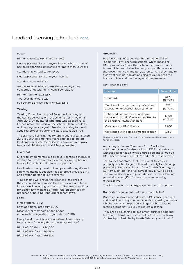#### Fees: -

Higher Rate New Application £1,550

New application for a one-year licence where the HMO has been operating unlicensed for more than 12 weeks

Standard New Application £420

New application for a one-year\* licence

Standard Renewal £197

Annual renewal where there are no management concerns or outstanding licence conditions<sup>6</sup>

Higher Rate Renewal £377

Two-year Renewal £222 Full Scheme or Five-Year Renewal £315

#### Woking

Woking Council introduced Selective Licensing for the Canalside ward, with the scheme going live on 1st April 2018. Uniquely, for landlords who applied for a licence before the start of the scheme, there would be no licensing fee charged. Likewise, licensing for newly acquired properties after the start date is also free.

The standard licensing fee for applications after 1st April 2018 is £560, lasting three years and for accredited landlords a reduced fee of £200 is payable. Renewals fees are £420 standard and £200 accredited.

## Liverpool

Liverpool implemented a 'selective' licensing scheme, as a result: "all private landlords in the city must obtain a licence for each of their rented properties".

Landlords not only need to keep properties legally and safely maintained, but also need to prove they are a 'fit and proper' person to let to tenants: -

"The scheme will ensure that licensed landlords in the city are 'fit and proper'. Before they are granted a licence we'll be asking landlords to declare convictions for dishonesty, violence or drug-related offences, or breaches of housing, landlord or tenant laws."

Fees: -

First property: £412

Each additional property: £360 Discount for members of one of our approved co-regulation organisations: £206

Every build to rent block of apartments must apply for a licence for every flat at the individual rate<sup>7</sup>:

Block of 100 flats = £20,600 Block of 200 flats = £41,200 Block of 300 flats = £61,800

## Greenwich

Royal Borough of Greenwich has implemented an "additional HMO licensing scheme, which means all HMO properties (more than 2 tenants from 2 or more households) need to be licensed, not just those under the Government's mandatory scheme." And they require a copy of criminal convictions disclosure for both the licence holder and the manager of the property.

HMO licence Fees<sup>8</sup>:-

| Fee type                                                                                                  | Normal fee       |
|-----------------------------------------------------------------------------------------------------------|------------------|
| Standard                                                                                                  | £377<br>per Unit |
| Member of the Landlord's professional<br>association or accreditation scheme                              | £261<br>per Unit |
| Enhanced (where the council have<br>discovered the HMO use and written to<br>the property owner/landlord) | £490<br>per Unit |
| Variation to a HMO licence                                                                                | f200             |
| Assistance with completing application                                                                    | £150             |

The fees are VAT exempt. The cost of the fees is a valid business expense for tax purposes.

According to James Clemmow from Savills, the additional licence for Greenwich is £377 per bedroom without accreditation, while a three bed and a five bed HMO licence would cost £1,131 and £1,885 respectively.

The council has stated that if you want to let your property to a family you will need to apply for planning permission to convert it back from C4 (HMO letting) to C3 (family letting) and will have to pay £462 to do so. This would also apply to properties where the planning permission was 'gifted' due to the scheme being retrospective.

This is the second most expensive scheme in London.

Doncaster (sign up 3rd party, pay monthly fee)

Doncaster operate a mandatory HMO licensing scheme and in addition, they run two Selective licensing schemes which cover Hexthorpe and Edlington where anyone renting a property is likely to require a licence.

They are also planning to implement further additional licensing schemes across "in parts of Doncaster Town Centre, Hyde Park, Balby North, Wheatley and Intake"

Source: 6. [https://www.oxford.gov.uk/info/20113/houses\\_in\\_multiple\\_occupation](https://www.oxford.gov.uk/info/20113/houses_in_multiple_occupation) 7. <https://www.liverpool.gov.uk/landlordlicensing> 8. [https://www.royalgreenwich.gov.uk/info/200290/multiple\\_occupancy\\_homes/937/apply\\_for\\_a\\_hmo\\_licence](https://www.royalgreenwich.gov.uk/info/200290/multiple_occupancy_homes/937/apply_for_a_hmo_licence)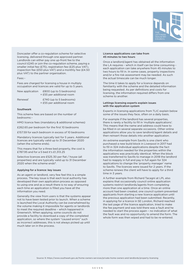

Doncaster offer a co-regulation scheme for selective licensing, delivered through one approved partner. Landlords can either pay one up-front fee to the council £245 or join the co-regulation scheme, paying a smaller initial fee (£75), registration fee (£25 plus VAT), inspection fee (£50 plus VAT) and a monthly fee (£4.50 plus VAT) to the partner organisation.

#### Fees: -

Fees are charged for licensing a house in multiply occupation and licences are valid for up to 5 years.

| New application | £800 (up to 5 bedrooms)   |  |
|-----------------|---------------------------|--|
|                 | + £55 per additional room |  |
|                 |                           |  |

Renewal\* £740 (up to 5 bedrooms) + £55 per additional room

## Southwark

This scheme fees are based on the number of bedrooms: -

HMO licence fees (mandatory & additional schemes)

£262.65 per bedroom for the first 10 bedrooms

£157.59 for each bedroom in excess of 10 bedrooms

Mandatory licences typically last for 5 years. Additional licences are typically valid up to 31 December 2020 (when the scheme ends).

This means that for a three bed property, the cost is £787.95 and for a 5 bed it's £1,313.25

Selective licences are £525.30 per flat / house (all properties) and are typically valid up to 31 December 2020 when the scheme ends<sup>9</sup>.

## Applying for a licence: key issues

As an agent or landlord, very few feel this is a simple process. The key issue is that each local authority has developed their own application process as opposed to using one and as a result there is no way of ensuring each time an application is filled you have all the information you need.

Generally the view from users is that the systems appear not to have been tested prior to launch. When a scheme is launched the Local Authority can be overwhelmed by the volume making it impossible for agents or landlords to meet the required deadline – which happened in Greenwich. When applying, some councils do not provide a facility to download a copy of the completed application, so where the system "caused errors" such as incorrect addresses, this is not always picked up until much later on in the process.

## Licence applications can take from 45 minutes to two hours

Once a landlord/agent has obtained all the information the LA requires - which in itself can be time consuming each application can take anywhere from 45 minutes to two hours to fill in. In some cases, property inspections and/or a fire risk assessment may be needed. As such the actual timescale can be much longer.

The time it takes to apply for a licence depends on familiarity with the scheme and the detailed information being requested. As per definitions and costs for licensing, the information required differs from one scheme to another.

### Lettings licensing experts explain issues with the application system

Experts in licensing applications from TLIC explain below some of the issues they face, often on a daily basis.

For example if the landlord has several properties, there is rarely a facility to fill in 'multiple applications'. This means that the name and address could have to be filled in on several separate occasions. Other online applications allow you to save landlord/agent details and then reinsert those details into another application.

An extreme example from Savills is one client who purchased a new build block in Liverpool in 2017 had to fill in 324 individual applications despite the fact the information needed for the properties within the applications was practically identical. When the block was transferred to Savills to manage in 2018 the landlord had to reapply in full and pay in full again for 324 applications to change the 'property manager' name to Savills. The licences were issued for 2 years. If the scheme renews the client will have to apply for a third time in 3 years.

A further example from Richard Tacagni at LPL also explains that occasionally council online application systems restrict landlords/agents from completing more than one application at a time. Once an online account had been created, one council system prevented applicants from starting a new licence application until the previous application had been submitted. Recently, in applying for a licence in SE London, Richard reached the last page of the licence application, tried to make the fee payment and was told there was a fault and he needed to start the process again – no indication of what the fault was and no opportunity to amend the form. The whole form was then wiped and had to be re-entered.

Source: 9. [https://www.southwark.gov.uk/home-owners-services/private-home-owners-and-landlords/property-licensing](https://www.southwark.gov.uk/home-owners-services/private-home-owners-and-landlords/property-licensi)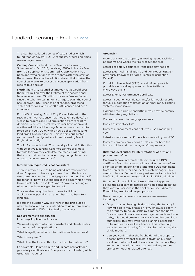The RLA has collated a series of case studies which found that via several FOI LA requests, processing times were a major issue: -

Gedling Council introduced a Selective Licensing Scheme on 1st Oct 2018, receiving £160k in licence fees from 398 applications submitted, 0 applications had been approved so far nearly 3 months after the start of the scheme. They had in addition stated that it takes the council 26 weeks to process a licence application from receipt to a decision.

Nottingham City Council estimated that it would cost them £25 million over the lifetime of the scheme and have received over £5 million in licence fees so far, and since the scheme starting on 1st August 2018, the council has received 14060 licence applications, processed 7,712 applications, and just 20 draft licences had been completed.

For HMO Licensing, Bristol City Council stated to the RLA in their FOI response that they take 730 days/104 weeks to process an HMO application from receipt to decision. Recently Bristol City Council have approved another Additional Licensing Scheme due to come into force on 8th July 2019, with a new application costing landlords £1255 per licence. This is being suggested as the one of the highest additional licensing fees in England currently.

The RLA conclude that "The majority of Local Authorities with Selective Licensing Schemes cannot provide a formula for how they calculate their fees, suggesting that costs that landlords have to pay being classed as unreasonable and excessive."

### Information requested is not consistent

There is a wider issue of being asked information that doesn't appear to have any connection to the licence (for example a landlords mortgage account number or if the tenants know to put rubbish in the bins), which if you leave blank or fill in as 'don't know,' have no bearing on whether the licence is granted or not.

This can also delay the time it takes to fill in an application, especially if an agent has to go back to a landlord.

It begs the question why it's there in the first place or what the local authority is intending to gain from having that information if it's not actually necessary.

### Requirements to simplify the Licensing Application Process

We need a system which is consistent and clearly states at the start of the application: -

What is legally required – information and documents?

### Why it's required?

What does the local authority use the information for?

For example, Hammersmith and Fulham only ask for a gas safety certificate and floorplan to be uploaded, while Greenwich requires: -

#### Greenwich

Floor plans for the property (showing layout, facilities, bedrooms and where the fire precautions are)

Latest gas safety certificate if the property has gas

Latest Electrical Installation Condition Report (EICR – previously known as Periodic Electrical Inspection Report)

Portal Appliance Test (PAT) reports if you provide portable electrical equipment such as kettles and microwave ovens

Latest Energy Performance Certificate

Latest inspection certificates and/or log book records for your automatic fire detection or emergency lighting systems, if applicable

Evidence the furniture and fittings you provide comply with fire safety regulations

Copies of current tenancy agreements

Copies of inventory lists

Copy of management contract if you use a managing agent

Latest asbestos report if there is asbestos in your HMO

Copy of criminal convictions disclosure for both the licence holder and the manager of the property

## Different local authority interpretations of a 'fit and proper person' test

Greenwich have interpreted this to require a DBS certificate from the licence holder and in the case of an agent applying on behalf of a landlord a DBS certificate from a senior director and local branch manager. This needs to be clarified as this request seems to contradict MHCLG guidance and may conflict with DBS guidelines.

Hammersmith and Fulham take a different approach asking the applicant to instead sign a declaration stating they know all persons in the application, including the Freeholder, are fit and proper persons.

Questions agents have to ask people are invasive, including: -

- Do you plan on having children during the tenancy? Having a child may create an HMO or cause a room in the property to be unusable by a mother and baby. For example, if two sharers are together and one has a baby, this would create a basic HMO and in some local authorities, this may even need planning permission to be required as well as a licence. This potentially leads to landlords being forced to discriminate against single mothers.
- Can you confirm that the freeholder of the property doesn't have any past criminal convictions? Some local authorities will ask the applicant to declare they know the freeholder hasn't committed any serious crimes or housing related offences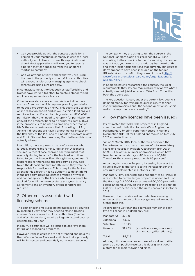

- Can you provide us with the contact details for a person at your mortgage company in case the local authority would like to discuss this application with them? Most applications will want you to specify a person they can speak to from the landlord's mortgage company.
- Can we arrange a visit to check that you are using the bins in the property correctly? Local authorities will expect landlords or managing agents to check tenants are using bins properly.

In contrast, some authorities such as Staffordshire and Dorset have worked together to create a standardised application process for a licence.

Other inconsistences are around Article 4 directives, such as Greenwich which requires planning permission to let out a property as an HMO. This costs £482 to apply online (£462 on paper) and as well as this a landlord will require a licence. If a landlord is granted an HMO (C4) permission they then need to re-apply for permission to convert the property back to a normal residential (C3) if the property is to be used as anything other than an HMO, the same costs are applied. According to LPL, Article 4 directions are having a detrimental impact on the flexibility of the PRS and this needs a separate review and Robin Stewart from Anthony Gold believes this is not actually allowed.

In addition, there appears to be confusion over who is legally responsible for ensuring an HMO licence is secured. A recent case charged a letting agent that was only finding tenants for the landlord who then failed to get the licence. Even though the agent wasn't responsible for managing the property, as they had taken the deposit and first month's rent, they were held responsible for the licence. This is despite the fact an agent in this capacity has no authority to do anything in the property including cannot arrange any works and cannot apply for the licence which also cannot be applied for until the tenancy starts as signed tenancy agreements and an inventory check in report are required.

## 3. Other costs associated with licensing schemes

The cost of licensing is also being increased by councils by making it very clear they need to attend training courses. For example, two local authorities (Sheffield and West Super Mare) require all agents attend courses, costing around £199.

In return, a certificate will be issued to approve them letting and managing properties.

However, if these courses are not attended and paid for, then Weston Super Mare makes it clear that a property will be inspected and potentially not allowed to be let.

The company they are using to run the course is: the National Landlord Code of Excellence (NLCE) and according to the council, a tender for running the course was put out, yet no-one in the industry has heard of this and other, larger organisations that currently run courses don't appear to have been included on the tender (RLA/NLA etc to confirm they weren't invited [http://](http://westofenglandrentalstandard.co.uk/organisations/#.XIJH9Sj7RPY) [westofenglandrentalstandard.co.uk/organisations/#.](http://westofenglandrentalstandard.co.uk/organisations/#.XIJH9Sj7RPY) [XIJH9Sj7RPY](http://westofenglandrentalstandard.co.uk/organisations/#.XIJH9Sj7RPY))

In addition, having researched the courses, the legal requirements they say are required are way above what's actually needed. [Add letter and Q&A from Council to back the above up].

The key question is: can, under the current law, councils demand money for training courses in return for not inspecting properties and, the second question is, is this really the way to enforce licensing?

## 4. How many licences have been issued?

It's estimated that 500,000 properties in England meet the basic definition for an HMO in England. A parliamentary briefing paper on Houses in Multiple Occupation (HMOs) for England and Wales on 14th July 2017 estimated that: -

"As at 31 March 2016, local authorities provided the Department with estimate numbers of total mandatory licensable Houses in Multiple Occupation (HMOs) at 63,950. The actual number of properties which have been issued a mandatory HMO licence is 40,970. Therefore, the current proportion is 65 per cent"

According to London Property Licensing however the figure is much higher and is set to increase under the new rules implemented in October 2018: -

Mandatory HMO licensing does not apply to all HMOs. It is restricted to certain larger properties under Part II of the Housing Act 2004 – an estimated 60,000 properties across England, although this increased to an estimated 220,000+ properties when the rules changed in October 2018.

However, due to additional and selective licensing schemes, the number of licences generated are much higher than this.

According to Getrentr, the estimated number of each type of licence in England only are:

| Total:     | 196,715 |                                                             |
|------------|---------|-------------------------------------------------------------|
| Unknown    | 38.433  | (some licence register a mix<br>of mandatory/discretionary) |
| Selective  | 117.838 |                                                             |
| Additional | 14.625  |                                                             |
| Mandatory: | 25,819  |                                                             |

Although this does not encompass all local authorities (some do not publish results) this does give a good picture for all major towns and cities.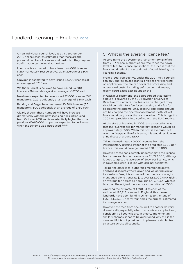On an individual council level, as at 1st September 2018, online research estimates that these are the potential number of licences and costs, but they require confirmation by the local authorities: 

Liverpool is estimated to have issued 44,000 licences (1,110 mandatory, rest selective) at an average of £500 each

Croydon is estimated to have issued 33,000 licences at an average of £750 each

Waltham Forest is believed to have issued 23,700 licences (214 mandatory) at an average of £750 each

Newham is expected to have issued 22,000 licences (516 mandatory, 2,221 additional) at an average of £400 each

Barking and Dagenham has issued 10,500 licences (36 mandatory, 300 additional) at an average of £750 each

Clearly though these numbers will have increase dramatically with the new licensing rules introduced from October 2018 and is substantially higher than the previous 40-60,000 properties expected to be licensed when the scheme was introduced.<sup>10, 11, 12</sup>

## 5. What is the average licence fee?

According to the government Parliamentary Briefing from 2017, "Local authorities are free to set their own level of fees for licence applications, the idea is that the fees should reflect the actual cost of administering the licensing scheme."

From a legal perspective, under the 2004 Act, councils can only charge an applicant a single fee for licensing, on application. The fee can cover the processing and operational costs, including enforcement. However, recent court cases cast doubt on this.

In Gaskin vs Richmond, the court agreed that letting a house is covered by the EU Provision of Services Directive. This affects how fees can be charged. They should be split into a fee for processing and a fee for operating the scheme. Unsuccessful applicants should not be charged the operational element. Both sets of fees should only cover the costs involved. This brings the 2004 Act provisions into conflict with the EU Directive.

At the start of licensing in 2006, the expectation was that the "average fee for mandatory licensing would be approximately £500. When this cost is averaged out over the five-year life of a licence, this would result in an annual cost of around £100."

Taking the estimated 40,000 licences from the Parliamentary Briefing Paper at the predicted £500 per licence, this would have generated £20,000,000.

However, these considerably underestimate the licence fee income as Newham alone raise £11,272,000, although it does suggest the 'average' of £507 per licence, which in Newham's case is in line with original estimates.

Taking the other local authorities mentioned above, applying discounts where given and weighting similar to Newham fees, it is estimated that the five boroughs mentioned alone generate just over £52,000,000, giving an average fee across all boroughs of £390.64, which is less than the original mandatory expectation of £500.

Applying the estimate of £390.64 to each of the estimated 196,715 licences in England, this means landlords have been funding schemes to the tune of £76,844,747.60, nearly four times the original estimated income generation.

However, the fees from one council to another do vary dramatically, especially when discounts are applied and, considering all councils are, in theory, implementing similar schemes, it has to be questioned why this is the case and if it is not possible to implement a similar fee structure across all councils.

Source: 10. <https://www.gov.uk/government/news/rogue-landlords-put-on-notice-as-government-announces-tough-new-powers> 11. <https://www.londonpropertylicensing.co.uk/mandatory-hmo-licensing>12. <https://getrentr.com/>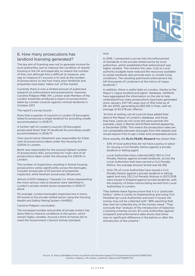

## 6. How many prosecutions has landlord licensing generated?

The key aim of licensing was not to generate income for local authorities, but to improve the condition of shared housing in the UK and especially to reduce the number of fires, but although this is difficult to measure, one way to measure it's success is to look at the number of prosecutions to see how many poor landlords and properties have been 'taken out' of the market.

Currently there is only a limited amount of publicised research on enforcement and prosecutions. However, Caroline Pidgeon MBE AM, London wide Member of the London Assembly produced a report on prosecutions taken by London councils against criminal landlords in October 2017.

The report's survey found: -

More than a quarter of councils in London (9 boroughs) failed to prosecute a single landlord for providing unsafe accommodation in 2016/17.

A further half of London's councils (16 boroughs) prosecuted fewer than 10 landlords for providing unsafe accommodation in 2016/17.

One council alone (Newham) was responsible for 57per cent of prosecutions taken under the Housing Act (2004) in London.

Brent was responsible for the second highest number of prosecutions (65), accounting for 11 per cent of all prosecutions taken under the Housing Act (2004) in London.

The number of inspections resulting in formal housing prosecutions varies significantly across the boroughs. Croydon prosecutes 0.03 percent of properties inspected, while Newham prosecutes 38 percent.

Almost 4,000 Category 1 hazards (i.e. those representing the most serious risks to tenants) were identified in London's private rented sector properties in 2016/17 alone.

On average, London boroughs inspected one in every 45 homes in the private rented sector using the Housing Health and Safety Rating System (HHSRS)

Caroline Pidgeon concluded: -

The increased number and profile of private renters has done little to improve conditions in the sector, which remain highly variable. Around a third of homes fail to meet the Government's Decent Homes standard.

## And

In 2016, I conducted a survey into the enforcement of standards in the private rented sector by local authorities, which established that enforcement was highly variable. This remains the case. Cuts to Local authority budgets have reduced the resources available to tackle landlords who provide poor or unsafe living conditions. The resulting patchwork enforcement has left thousands of Londoners at the mercy of rogue landlords.13

In addition, there is useful data on London, thanks to the Mayor's 'rogue landlord and agent' database. GetRentr have aggregated the information on the site to help understand how many prosecutions have been generated since January 2017 93 cases (out of 1552 total as of 08 Jan 2019), generating £2,965,195 in fines, with an average of £4,278 per offence<sup>\*</sup>.

\* At time of writing, not all councils have added their data to the Mayor of London's database, and those that have, cases do not cover the same periods (for example, cases in Barnet and Enfield started appearing in December 2018). This means the prosecution rates are not comparable between boroughs from this dataset and would require FOIs to get a fuller and comparable picture.

More recently, the RLA's PEARL Research has shown that:-

- 53% of local authorities do not have a policy in place for issuing a Civil Penalty Notice against a private landlord or letting agent
- Local Authorities have collected £621,760 in Civil Penalty Notices against private landlords, across the Local Authorities that have served a Civil Penalty Notice, the average amount levied was £6,392
- Only 11% of Local Authorities have issued a Civil Penalty Notice against a private landlord or letting agent and only 332 Civil Penalty Notices in 2017/2018 were issued in England against private landlords, with the majority of these notices being served from Local Authorities in London.

They believe these figures prove that it is a "postcode lottery" when it comes to implementing and using Civil Penalties by Local Authorities and even if issued, the money may not be collected with "28% reporting that they had not collected any of the monies owed." They conclude that "analysis of the introduction of Selective Licensing schemes across 32 Local Authorities against complaint and enforcement data shows that there was no significant difference in the before or after the introduction of the scheme."

Source: 13. [https://d3n8a8pro7vhmx.cloudfront.net/ldlondon/pages/2177/attachments/original/1508957318/](https://d3n8a8pro7vhmx.cloudfront.net/ldlondon/pages/2177/attachments/original/1508957318/Caroline_Pidgeon_AM_Rogue_Landlords_Report.pdf?1508957318) [Caroline\\_Pidgeon\\_AM\\_Rogue\\_Landlords\\_Report.pdf?1508957318](https://d3n8a8pro7vhmx.cloudfront.net/ldlondon/pages/2177/attachments/original/1508957318/Caroline_Pidgeon_AM_Rogue_Landlords_Report.pdf?1508957318)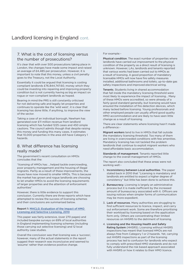## 7. What is the cost of licensing versus the number of prosecutions?

It's clear that with over 500 prosecutions taking place in London, the changes have made some impact and raised an average of £4,485 per prosecution. However, it is important to note that this money, unless a civil penalty goes to the Treasury, not the Local Authority.

Essentially it could be argued that licensing is costing compliant landlords £76,844,747.60, money which they could be investing into repairing and improving property condition but is not currently having as big an impact on rogue or non-compliant landlords as hoped.

Bearing in mind the PRS is still constantly criticised for not delivering safe and legally let properties and continues to operate like the 'wild west', it is clear that licensing has done little, if anything, to improve the view of the sector.

Taking a case of an individual borough, Newham has generated over £11 million revenue from landlord licensing which has funded 1225 cases and 450 simple cautions. The council admits though that despite raising this money and funding this many cases, it estimates that 10,000 properties in the area still have Category 1 hazards.

## 8. What difference has licensing really made?

The government's recent consultation on HMOs concludes that the:

"licensing of HMOs has: …helped tackle overcrowding, poor property management and the housing of illegal migrants. Partly as a result of these improvements, the issues have now moved to smaller HMOs. This is because the market has grown and rogue landlords are choosing to let smaller HMOs to avoid the licensing requirements of larger properties and the attention of enforcement authorities"

However, there is little evidence to support this conclusion. Currently there are three reports which have attempted to review the success of licensing schemes and their conclusions are summarised below.

## Report 1: [MHCLG: Evaluation of the Impact of HMO](https://webarchive.nationalarchives.gov.uk/20120920022551/http:/www.communities.gov.uk/documents/housing/pdf/1446438.pdf)  [Licensing and Selective Licensing, 2010](https://webarchive.nationalarchives.gov.uk/20120920022551/http:/www.communities.gov.uk/documents/housing/pdf/1446438.pdf)

This paper was fairly extensive, (over 270 pages) and included bespoke surveys on 69% of local authorities in England implementing licensing schemes (including those carrying out selective licensing) and 12 local authority case studies.

Overall the conclusion was that licensing was a 'success', however, many of the actual statements in the report suggest their research was inconclusive and seemed to 'assume' rather than evidence positive change.

## For example: -

Physical condition. The exact number of properties where landlords have carried out improvement to the physical condition of the property as a direct result of licensing is unknown. However, LAs, landlords and tenants reported that various works had been carried out to HMOs as a result of licensing. A good proportion of mandatory licensable HMOs will now have fire safety measures installed, additional bathrooms and toilets, up-to-date gas safety inspections and improved electrical wiring.

Tenants. Students living in shared accommodation that fall inside the mandatory licensing threshold were most likely to experience the impact of licensing… Many of these HMOs were accredited, so were already of a fairly good standard generally, but licensing would have ensured the installation of fire detection devices, which many lacked before licensing. Young professionals and other employed people can usually afford good quality HMO accommodation and are likely to have seen little change as a result of licensing.

There are clear statements where licensing hasn't made a difference: -

Migrant workers tend to live in HMOs that fall outside the mandatory licensing threshold. Too many of them are living in overcrowded conditions with few amenities. Mandatory licensing has not tackled the problem landlords that continue to exploit migrant workers who need affordable basic accommodation.

Standards of management. Tenants reported little change to the overall management of HMOs.

The report also concluded that these areas were not working well: -

- 1. Inconsistency between Local authorities. The paper stated back in 2010 that "Licensing is mandatory and landlords are entitled to expect a higher degree of consistency" but little has been done to achieve this.
- 2. Bureaucracy. Licensing is largely an administrative process but it is made inefficient by the increased amount of bureaucracy associated with it. Officers are issuing notices when simpler forms of communication may be more expedient.
- 3. Lack of resources. Many authorities are struggling to find sufficient resources to licence, inspect, and carry out enforcement work. Some are therefore prioritising their workload by licensing based on the application form only. Others are concentrating their limited resources on HHSRS to the detriment of licensing.
- 4. Licensing and the Housing Health and Safety Rating System (HHSRS). Licensing without HHSRS inspections has meant that licensed HMOs are not always free from Category 1 or 2 hazards. Yet, carrying out HHSRS inspections as part of the licensing process has led to confusion for landlords who expect to comply with prescribed HMO standards and do not fully understand the risk based approach associated with HHSRS or how it relates to their HMO licence.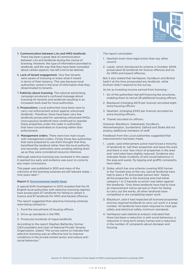

- 5. Communication between LAs and HMO landlords. There has been a great deal of communication between LAs and landlords during the course of licensing. However, the type of information provided to landlords, and the way that they have been consulted about certain aspects, has left a lot to be desired.
- 6. Lack of tenant engagement. Very few tenants were aware of licensing or knew what it meant in terms of their tenancy. This was because local authorities varied in the level of information that they disseminated to tenants.
- 7. Publicity about licensing. The national advertising campaign produced a confused message about licensing for tenants and landlords resulting in an increased work load for local authorities.
- 8. Prosecutions. Local authorities have been slow to carry out enforcement action against unlicensed landlords. Therefore, there have been very few landlords prosecuted for operating unlicensed HMOs. Unscrupulous landlords have continued to operate these properties under the radar in authorities that have concentrated on licensing rather than enforcement.
- 9. Management orders. There were two main issues with management orders. Firstly those few authorities that were prepared to use them thought that they benefited the landlord rather than the local authority and secondly, authorities were avoiding setting them up as they were considered resource intensive.

Although selective licensing was reviewed in this paper, it seemed too early and evidence was poor to come to any major conclusions.

This paper was published in 2010 and many of the criticisms of the licensing schemes are still relevant today – nine years later.<sup>14</sup>

## Report 2: [Environmental Health News](http://www.ehn-online.com/news/article.aspx?id=10582)

A special EHN investigation in 2013 revealed that the 16 English local authorities with selective licensing regimes have prosecuted 217 landlords for failing to obtain a licence and 87 landlords for HMO and hazard offences.

The report suggested that selective licensing schemes were being utilised to:-

- 1. Fund the recruitment of housing officers
- 2. Drive up standards in the PRS
- 3. Prosecute hundreds of rogue landlords

According to the report Stephen Battersby, former CIEH president and chair of National Private Tenants Organisation, stated 'The survey seems to indicate that selective licensing was an effective tool to improve conditions in the private rented sector and reduce antisocial behaviour.'

The report concluded: -

- 1. Newham took more legal action than any other council.
- 2. Leeds, which introduced its scheme in October 2009, prosecuted 42 landlords for licence offences and six for HMO and hazard offences.

But it also stated that Hartlepool, Hyndburn and Bristol hadn't at the time prosecuted any landlords, while Durham didn't respond to the survey.

As far as investing income earned from licensing: -

- 1. Six of the authorities had self-financing fee structures, enabling them to recruit 28 additional housing officers.
- 2. Blackpool (charging £670 per licence) recruited eight extra housing officers
- 3. Newham, (charging £500 per licence) recruited six extra housing officers.
- 4. Thanet recruited six officers.

However, Blackburn, Gateshead, Hyndburn, Wolverhampton, Sunderland, Salford and Stoke did not employ additional members of staff.

Feedback from the Local authorities suggested that improvements had been made,

- 1. Leeds -said enforcement action had forced a minority of landlords to 'sell their properties and leave the area' and there is now 'less churn of properties in the area' and 'void rates have slightly reduced'. Evidence also indicates fewer incidents of anti-social behaviour in the area and waste, fly-tipping and graffiti complaints have fallen.
- 2. Stoke, which has one scheme covering 900 homes in the Tunstall area of the city, said all landlords have had to pass a 'fit and proper person test'. Nearly all the properties in the licensing area had either category 1 or 2 hazards so action was taken against the landlords. 'Only three landlords have had to have an improvement notice served on them for failing to carry out the works, all other landlords have completed or are completing repair work.'
- 3. Blackburn, said it had inspected all licensed properties and has required landlords to carry out work in a large number. All landlords have been required to meet gas safety and electrical safety minimum standards.
- 4. Hartlepool said statistical analysis indicated that there had been a reduction in anti-social behaviour, a reduction in long-term empty homes and a reduction in the number of complaints about disrepair and housing.

Source: 14. [MHCLG: Evaluation of the Impact of HMO Licensing and Selective Licensing, 2010](https://webarchive.nationalarchives.gov.uk/20120920022551/http:/www.communities.gov.uk/documents/housing/pdf/1446438.pdf)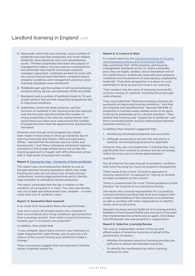- 5. Newcastle, which has two schemes, said a number of landlords had sold their properties and 'more reliable landlords' have started to carry out refurbishment works. 'Thirteen properties have been the subject of management orders, one was sold as a consequence, the remainder have had fit and proper property managers appointed. Landlords are keen to work with the council and we have had fewer complaints about property conditions and management practices since licensing standards were introduced.'
- 6. Middlesbrough said the number of anti-social behaviour incidents fell by 26 per cent between 2006 and 2008.
- 7. Blackpool said a number of landlords failed its 'fit and proper person' test and the inspection programme led to improved conditions.
- 8. Gateshead, which has three schemes, said the turnover of residents in the licensing area has reduced over the five-year period and that the number of empty properties in the area has nearly halved. Antisocial behaviour rates have reduced and the number of properties that meet the decent home standard has increased.

However, even though some progress has clearly been made in these areas to drive up standards due to selective licensing, Bob Mayho, CIEH principal policy officer, "warned that the process was too costly and bureaucratic." and 'Many colleagues working to improve standards in the private rented sector tell us that the licensing approach is fraught with difficulties and carries with it, high levels of bureaucratic burden,'

### Report 3: [Closing the Gap – University of Kent and Bristol](http://www.ehn-online.com/news/article.aspx?id=10582)

This report was commissioned by Shelter to look at the gap between existing legislation which may make housing less safe; set out where lack of enforcement 'undermines' existing legal protections and to identify legal remedies to strengthen tenant protection.

The report concluded that the law in relation to the condition of a property is a 'mess'. The view was the law was out of date and enforcement was 'variable' - in some cases even just of 'symbolic value'.

#### Report 4: Generation Rent research

In an email from Generation Rent, the reported that: -

"just one in every 20 private renters who complain to their council about poor living conditions gets protection from a revenge eviction. Even when councils find serious hazards, just 1 in 5 tenants are protected."

In addition, they stated that

"if you complain about black mould in your bedroom or water dripping from light fittings, you've got just a 5% chance of the council forcing your landlord to make a change."

These conclusions suggest that licensing hasn't had the impact originally hoped for.

## Report 5: A Licence to Rent

In a recent report by the Chartered Institute of Housing [and Chartered Institute of Environmental Health](http://www.cih.org/resources/PDF/Policy%20free%20download%20pdfs/A%20Licence%20to%20Rent%20-%20selective%20licensing.pdf), they summarise that "whilst property and housing management standards are by no means universally poor, they are highly variable, and at the bottom end of the market there is a particular issue with poor property conditions and the presence of unscrupulous, exploitative landlords." From their perspective, it is down to Local authorities to drive up and one route is via Licensing.

Their research into the value of licensing involved 20 councils running 27 schemes, including three borough wide schemes.

They concluded that "Selective licensing schemes are successful at improving housing conditions." And that the schemes had identified that "between 69-84% of properties in licensed areas needed works to be done to bring the properties up to a decent standard." They believe that licensing was "largely fair to landlords" and that it promoted better working relationships between landlords and the LA.

In addition their research suggested that: -

- 1. Identifying unlicensed properties was successful
- 2. Although prosecutions are low this was due to a cautious, encouraging good practice approach

However, they also concluded that "Licensing fees vary significantly from scheme to scheme and do not always reflect the true cost of scheme administration."

And that<sup>1</sup>

Not all schemes focused enough on property condition, with some focusing too much on property management

There needs to be a more "proactive approach to housing inspections" as opposed to "relying on tenants to make complaints to the council."

There is a requirement for more "formal guidance or best practice" for councils to run licensing schemes.

The report also covered requirements for successfully running licensing including high level local support and a clear understanding of the outcomes to be achieved as well as working with other organisations to identify issues, such as the police.

Newham has been and the forefront of Licensing and this feedback is from Russell Moffat who was part of the team that implemented the scheme and an agent, Chris Baker from McDowalls who was proactive in supporting it: 

### Report 6: Selective Licensing Review

This was an independent review of the use and effectiveness of selective licensing on behalf of the government, to assess: -

- Whether the powers selective licensing provides are sufficient to deliver the intended outcomes
- To identify the mechanisms by which licensing achieves its aims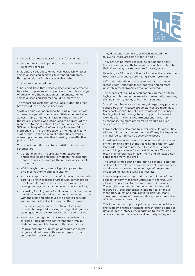

- To seek commonalities of successful schemes
- To identify issues impacting on the effectiveness of selective licensing.

In addition, it set out to objectively establish whether selective licensing achieves its intended outcomes, through analysis of publicly available data

The review concluded that: -

"The report finds that selective licensing is an effective tool when implemented properly, and identifies a range of areas where the operation or implementation of selective licensing schemes could be improved."

The report suggests that of the Local Authorities that have introduced selective licensing: -

"With a single exception, local housing authorities with schemes in operation considered their schemes to be at least "fairly effective" in tackling one or more of the issues licensing was introduced to address. Of the responses to this question, 41% were "very effective", 51% were "fairly effective" and only 9% were "fairly ineffective" or "very ineffective".2 The figures clearly suggest that, in the opinion of authorities currently operating schemes, selective licensing is an effective policy tool."

The report identifies key characteristics of effective schemes are<sup> $\cdot$ </sup>

- Careful planning, in particular with respect to anticipated costs and also to mitigate the potential impact of underestimating the number of licensable properties;
- Well thought through and diligent approach to evidence gathering and consultation;
- A realistic approach to area definition with boundaries carefully drawn to focus onareas with demonstrable problems, although it was clear that problems couldgenuinely be district wide in some authorities;
- Licensing forming part of a wider suite of communitybased measures aimed at effecting change consistent with the aims and objectives of selective licensing, with a clear political will to support the scheme;
- Effective engagement with both landlords and tenants, but especially raising, through dialogue and training, landlord awareness of their responsibilities;
- An inspection regime that is robust, consistent and targeted – dealing with contraventions firmly but fairly, where possible dealing with the worst first;
- Regular and open publication of progress against targets and outcomes - this encourages trust and support from stakeholders

They did identify some issues which included the following (more are listed in the report): -

They are not permitted to include conditions on the licence relating directly to property conditions, despite that often being the key reasons for designation.

Have to give 24 hours' notice for formal action under the Housing Health and Safety Rating System (HHSRS).

Difficulties identifying the true extent of the private rented sector, although most reported finding more privately rented properties than anticipated.

The process of making a designation is perceived to be highly complex and unnecessarily bureaucratic, requiring significant time, money and other resources.

Size of the scheme - as schemes get larger, any problems caused by unanticipated circumstances are magnified. Many costs cannot be set directly against the licence fee (e.g. landlord training, tenant support, increased workload for the legal department) and the larger a scheme is, the more problematic resourcing such services can prove.

Larger schemes also tend to suffer particular difficulties with recruitment and retention of staff. Any inadequacies in initial fee setting can be severely exposed.

Inflexible licence fees - most licence fees take no account of the remaining time of the licensing designation, with landlords required to pay the full cost of re-licensing after holding a licence for a short time only. This can result in understandable resentment and increased noncompliance from landlords.

The largest single cost of operating a scheme is staffing; setting a fee too low can have significant consequences – usually a reduction in the percentage of properties inspected, delays in issuing licences etc.

Several respondents reported that completion of the application form was often undesirably onerous, with a typical application form comprising 15-25 pages. The length is dependent on the extent of information required by local authorities in addition to extensive mandatory questions required by legislation. Many considered several of these mandatory questions to be of limited relevance or utility.

This independent report is primarily based on evidence provided by a range of stakeholders through a series of detailed depth interviews, in addition to the results of an online survey sent to every local authority in England.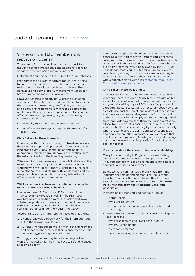## 9. Views from TLIC members and reports on Licensing

These range from making licensing more consistent, though to scrapping selective and additional licensing altogether and replacing with a Property MOT.

Metatstreet's summary on the current licensing schemes

Property licensing is an important tool in local efforts to improve standards in the private rented sector, as well as helping to address problems such as anti-social behaviour and poor property management which can have a significant impact on local areas.

However, licensing is clearly not a 'catch all' solution, and some of the criticisms raised… in relation to schemes that are overly bureaucratic; insufficiently targeted; and poorly enforced are valid where the approach has not been well designed and implemented. To maintain effectiveness and legitimacy, large-scale licensing schemes should be:

- backed by robust, targeted enforcement, and
- part of a wider strategy to improve the PRS and/or tackle ASB.

## Chris Baker – McDowalls Agents

Operating within our local borough of Newham, we see the awareness of possible prosecution from non-compliant landlords as vital. Local communities and landlords operating within this borough have slowly woken up to the risks involved and the fines they are facing.

When landlords are prosecuted others fall into line as the word spreads. For compliant landlords we have found working with the Local Authority useful but in the past 12 months Newham's dialogue with landlords has fallen away completely. In our view, licensing fails without effective dialogue and enforcement.

## Will local authorities be able to continue to charge to run and enforce licensing schemes?

In a recent case "R(Gaskin) vs LB Richmond Upon Thames(2018) EWHC 1996 (Admin) the High Court" overturned a prosecution against Mr Gaskin and gave substantial guidance on fees and other points associated with HMO licensing, and by implication selective licensing, schemes under the Housing Act 2004.

According to David Smith from the RLA, local authority: -

- 1. Licence renewals can only ask for the information set out in the relevant regulations
- 2. Currently include substantial elements of enforcement and management activity in their licence fees and this decision suggests they may not do so.

This suggests schemes may have to be dropped and, worse for councils, that they may have to refund licences already paid for.15

In order to comply with the directive, councils should be charging a two-part fee, with unsuccessful applicants being refunded the second part. In practice, few councils operate fees in this way, and, it is far from clear whether even a two-part fee would be allowed by the 2004 Act. As it stands, most councils' fee structure are likely to be unlawful, although most councils are now aiming to move to a two part fee and they have been provided with a directive along with a presentation from Adrian [Chowns of Coventry City Council](https://gallery.mailchimp.com/e577a620afac5c7a87c8c1044/files/ecfd2a87-df73-4c5a-b268-4a30824c96d4/Coventry_presentation.01.pdf)

#### Chris Baker – McDowalls agents

The cost per licence has been rising over the last five years and there is rarely an "early bird" introduction fee as landlords have benefited from in the past. Landlords are generally willing to pay £500 every five years and although reluctant to pay, it is a necessary cost. However, as costs rise past this point landlords tend to see it more and more as a money-making exercise from the local authority. They will still comply but there is less goodwill from landlords as a result of them feeling it operates as a local tax. Given that licensing schemes all arise out of statute why the cost should vary by area so dramatically when the same laws are being applied by councils up and down the country is a mystery. We appreciate that London councils generally face higher staff and running costs, but believe it must be possible for a limit on the cost per licence.

#### Conclusion about the current schemes/sustainability

Every Local Authority in England runs a mandatory Licensing scheme for Houses in Multiple Occupation. They can also apply to the government to run selective and additional licensing schemes.

Below we have summarised various views from the industry, academics and members of The Lettings Industry Council with regards to whether licensing should continue or take on another form. John Stewart, Policy Manager from the Residential Landlords Association

If discretionary licensing is to continue it must:

- Be small-scale
- Have clear objectives
- Have properly resourced application system and processing
- Have clear targets for issuing of licensing and apply tacit consent
- Have a transparent and lawful fee structure
- Have lawful conditions
- Be properly enforced
- Report annually against finance and objectives

Source: 15. [https://news.rla.org.uk/blog-gaskin-hmo-case-could-have-far-reaching-implications-for-licensing-schemes/](https://news.rla.org.uk/blog-gaskin-hmo-case-could-have-far-reaching-implications-for-licensing-sche)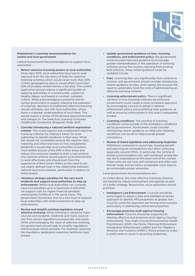

## Metatstreet's Licensing recommendation for central and local government

Central Government Recommendations to support local authorities: -

- Return selective licensing powers to local authorities: Since April 2015, local authorities have had to seek approval from the Secretary of State for selective licensing schemes which would cover more than 20% of their geographical area or would affect more than 20% of privately rented homes in the area. The current application process places a significant burden on applying authorities: it is bureaucratic, subject to lengthy delays, and based on unclear, outdated criteria. While acknowledging a potential role for central government in quality-checking the operation of schemes, decisions to implement selective licensing should ultimately rest with local authorities, where there is a greater understanding of local need. This would require a review of the general approval powers and changes to The Selective Licensing of Houses (Additional Conditions) (England) Order 2015.
- Consider introducing a national landlord registration scheme: This could support and complement selective licensing schemes by making it easier for local authorities to identify landlords in their area. While this would not completely remove the need for data matching and other exercises to find unregistered landlords, it would help local authorities to build a much better picture of the PRS in their areas and reduce the resources needed to start a new scheme. Any national scheme would require local enforcement to work effectively and should learn from the experience of Rent Smart Wales on the need to set out clearly defined roles in the relationship between national and local schemes, particularly in relation to enforcement.
- Introduce stronger penalties for the very worst landlords and support local authorities to step up enforcement: While local authorities can currently issue civil penalties up to a maximum of £30,000, we support calls for higher financial penalties and property forfeiture in the worst cases. The government should also look at a new fund to support local authorities with initial investment to step up enforcement.
- Review and simplify existing regulation around selective licensing: While licensing is valued by many councils and residents, landlords and many councils also find current regulations bureaucratic and costly. While acknowledging the value of selective licensing, the government should seek to simplify regulations and processes where possible. For example, reducing the mandatory application questions landlords must answer.
- Update government guidance on fees, licensing conditions, and enforcement policy: the government could provide improved guidance to encourage greater standardisation in the operation of licensing schemes across the country, learning from existing best practice. Areas where guidance could be updated include:
- Fees: Licensing fees vary significantly from scheme to scheme, and government should consider introducing clearer guidance on fees, while taking into account the need to sustainably fund the costs of administering an effective licensing scheme.
- Licensing enforcement policy: There is significant variation in how licensing schemes are enforced. Government could create a more consistent approach by encouraging councils to adopt a national enforcement policy and publishing clear guidance, as well as ensuring enforcement in this area is adequately funded.
- Licensing conditions: The wording of licensing conditions varies outside of the mandatory conditions set by government. Government could consider introducing clearer guidance on what new licensing conditions can be set to help provide greater consistency.
- Review of linked legislation and addressing loopholes: Definitions contained in council tax, housing benefit and planning are contradictory and often confusing, especially around HMOs. In particular, the turning of bedsit accommodation into 'self-contained' properties has led to exploitation at the lower end of the market. These units are not truly self-contained and often lack kitchen areas and are below acceptable room sizes to accommodate proper amenities.

Local government recommendations are: -

As noted above, the most effective licensing schemes are backed by robust enforcement and operate as part of a wider strategy. Beyond this, local authorities should prioritise:

- Intelligence Led Enforcement: Councils should be encouraged to adopt a data and intelligence-driven approach to identify PRS properties at greater risk. Councils using this approach are having more success, particularly in addressing unlicensed properties.
- Encourage proactive multi-agency housing enforcement: Councils should be supported to develop effective and proactive multi agency housing enforcement. This might include Environmental Health Practitioners (EHP), the Police, Planning Enforcement, Immigration Enforcement (UKBA) and Her Majesty's Revenue and Customs (HMRC). Police presence is also a useful asset to assist in accessing properties.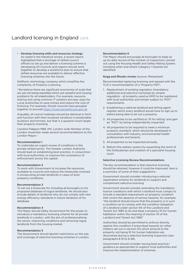• Develop licensing skills and resources strategy: As noted in the literature review, a recent report highlighted that a shortage of skilled council officers to set up and deliver a licensing scheme is developing.43 Councils and regions should work together to develop a workforce plan to ensure that skilled resources are available to deliver effective licensing schemes into the future.

GetRentr, technology company which simplifies the complexity of Property Licensing.

"We believe there are significant economies of scale that are yet not being exploited which are wasteful and causing problems for all stakeholders. For example, resource sharing and using common IT systems are easy ways for Local Authorities to save money and reduce the cost of licensing. For example, Dorset councils have grouped together to provide <https://www.dorsetforyou.gov.uk>.

Arguably, all council websites should be identical in form and function with their localised variations in predictable locations and formats, but that is a question much larger than property licensing.

Caroline Pidgeon MBE AM, London wide Member of the London Assembly made several recommendations to the London Mayor: -

### Recommendation 1

To undertake an urgent review of conditions in the private rented sector. The Greater London Authority should lead on establishing best practice, in conjunction with local authorities, to improve the consistency of enforcement across the capital.

#### Recommendation 2

To work with Government to increase the resources available to councils and reduce the timescales involved in prosecuting private landlords in cases of poor property conditions.

## Recommendation 3

To set out a timescale for including all boroughs on his proposed database of rogue landlords. He should also include details of landlords who do not comply with new energy efficiency standards in future iterations of his database

## Recommendation 4

The Mayor should lobby Government for the power to introduce a mandatory licensing scheme for all private landlords in London, with the aim of professionalising the sector, improving conditions and removing rogue landlords from the housing market.

#### Recommendation 5

The Government should abolish restrictions on the size and coverage of selective licensing schemes in London.

## Recommendation 6

The Mayor should encourage all boroughs to keep an up-to-date record of the number of inspections carried out using the Housing Health and Safety Rating System, including when and where Category 1 hazards are identified

### Rugg and Rhodes review (source: Metastreet)

Recommended replacing licensing and agreed with the TLIC's recommendation of a 'Property MOT'.

- 1. Replacement of existing regulation (mandatory, additional and selective licensing) by simpler regulation - all property used as HMO to be registered with local authorities and remain subject to 'MOT' requirements.
- 2. Establishing a national landlord and letting agent register which every landlord would have to sign up to before being able to let out a property.
- 3. All properties to be certified as 'fit for letting' and gain an "MOT' by being independently inspected.
- 4. All properties to be required to meet a minimum property standard, which should be developed in consultation with industry, environmental health professionals and tenants.
- 5. All properties to be inspected annually.
- 6. Reform the redress system by expanding the remit of the Ombudsman and creation of a specialist housing court.

## Selective Licensing Review Recommendations

The key recommendation is that selective licensing should be retained, however it could be improved, here is a summary of some of their suggestions: -

Government should consider introducing a national registration scheme for landlords to support and complement selective licensing

Government should consider amending the mandatory licence conditions with which a landlord must comply to include a standard requirement on property condition that covers the absence of serious hazards, for example: "the landlord should ensure that the property is in such a condition as to comply with the condition obligation of a landlord under section 9A of the Landlord and Tenant Act 1985 to let and keep a property fit for human habitation within the meaning of section 10 of the Landlord and Tenant Act 1985"

Authorities should be permitted to enforce directly against this condition if prescribed hazards (or other matters set out in section 10) which amount to the property not being fit for human habitation are discovered during a selective licensing inspection (see paragraphs 8.19 to 8.48).

Government should consider issuing best practice/ guidance as appropriate to support local authorities and improve the implementation of schemes.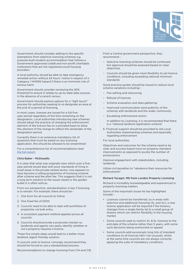

Government should consider adding to the specific exemptions from selective licensing schemes e.g. purpose-built student accommodation that follows a Government approved code8 and non-profit charitable institutions that are not registered social housing providers

A local authority should be able to take emergency remedial action without 24 hours' notice in respect of a Category 1 HHSRS hazard if there is an imminent risk of serious harm

Government should consider reviewing the 20% threshold to ensure it relates to up-to-date data sources in the absence of a recent census

Government should explore options for a "light touch" process for authorities seeking to re-designate an area at the end of a period of licensing.

In most cases, licenses are issued for a full fiveyear period regardless of the time remaining on the designation. Local authorities introducing new schemes should adopt the practice of charging the enforcement element of the licence fee on a prorated basis to allow this element of the charge to reflect the remainder of the designation period.

Currently there is an extensive mandatory list of questions that must be asked on any licensing application, this should be allowed to be streamlined

For a comprehensive list of recommendations read [the full report](https://assets.publishing.service.gov.uk/government/uploads/system/uploads/attachment_data/file/816604/Selective_Licensing_Review_2019.pdf).

## Chris Baker – McDowalls

It is clear that what was originally laws which over a fiveyear period would deal with poor standards of living in small areas in the private rented sector, now appears to have become a rolling programme of licensing scheme after scheme and fee after fee. This suggests that it is not a long term solution to the issues raised or the golden bullet it is often sold as.

From our perspective, standardisation is key if licensing is to remain. For example, there should be: -

- 1. One form for all councils to follow
- 2. One fixed fee of £500
- 3. Councils need to be able to deal with portfolios of properties via bulk entry
- 4. A consistent payment method applied across all councils.
- 5. Councils should provide a postcode checker so landlords and agents can easily identify whether or not a property requires a licence.

These five simple steps would lead to a better more landlord /agent friendly solution.

If councils wish to licence I strongly recommend they should be forced to use a standardised process.

Recommendations to change licensing from CIH and CIE.

From a Central government perspective, they recommend: -

- Selective licensing schemes should be continued but approval should be assessed based on clear objectives
- Councils should be given more flexibility to set licence conditions, including exceeding national minimum standards

Good practice guides should be issued to reduce local scheme variations including: -

- Fee setting and resourcing
- Refusal of licences
- Scheme evaluation and data gathering
- Improved communication (and publicity of the scheme) with landlords and the wider community
- Escalating enforcement action

In addition to Licensing, it is recommended that there is a "national landlord registration scheme"

6. Financial support should be provided to aid Local Authorities implementing schemes and especially regarding enforcement

For local authorities:

Objectives and outcomes for the scheme need to be clear and success based more on property standard improvements as opposed to purely the number of prosecutions

Improve engagement with stakeholders, including landlords.

Utilise civil penalties to "rebalance their resources for enforcement".

### Richard Tacagni, MD from London Property Licensing

Richard is incredibly knowledgeable and experienced in property licensing matters

Some of the important issues he has highlighted include: -

- Licences cannot be transferred, so in areas with selective and additional licensing (SL and AL), a new licence application will be required if the tenancy changes from a single family let to a small group of sharers which can restrict flexibility in the housing market
- Some councils seek to restrict AL & SL licences to the end date of the scheme rather than 5 years, with some such decisions being overturned on appeal
- Some councils add excessively long lists of standard conditions to all licences (40+ not unusual), whilst at the same time councils are not always correctly applying the suite of mandatory conditions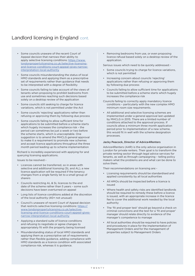- Some councils unaware of the recent Court of Appeal decision that narrows their ability to apply selective licensing conditions: [https://www.](https://www.londonpropertylicensing.co.uk/selective-licensing-and-licence-conditions-court-appeal-gives-narrow-interpretation-local-authority) [londonpropertylicensing.co.uk/selective-licensing](https://www.londonpropertylicensing.co.uk/selective-licensing-and-licence-conditions-court-appeal-gives-narrow-interpretation-local-authority)[and-licence-conditions-court-appeal-gives-narrow](https://www.londonpropertylicensing.co.uk/selective-licensing-and-licence-conditions-court-appeal-gives-narrow-interpretation-local-authority)[interpretation-local-authority](https://www.londonpropertylicensing.co.uk/selective-licensing-and-licence-conditions-court-appeal-gives-narrow-interpretation-local-authority)
- Some councils misunderstanding the status of local HMO standards and applying them as a prescriptive set of requirements rather than guidance that needs to be interpreted with a degree of flexibility
- Some councils failing to take account of the views of tenants when proposing to prohibit bedrooms from use and sometimes reaching such decisions based solely on a desktop review of the application
- Some councils still seeking to charge for licence variations, which is not permitted under the Act
- Some councils 'rejecting' applications rather than refusing or approving them by following due process
- Some councils failing to allow sufficient time for applications to be submitted before a scheme starts which hugely increases the compliance risk – the period can sometimes be just a week or two before the scheme starts, which is unacceptable. One suggestion is to amend the MHCLG general approval to make it a requirement to promote new schemes and accept licence applications throughout the three month period leading up to scheme implementation

Richard is incredibly experienced with applying for and querying licensing applications.

Issues to be resolved: -

- Licences cannot be transferred, so in areas with selective and additional licensing (SL and AL), a new licence application will be required if the tenancy changes from a single family let to a small group of sharers
- Councils restricting AL & SL licences to the end date of the scheme rather than 5 years – some such decisions have been overturned on appeal
- Long lists of licence conditions added at the discretion of the local authority (40+ not unusual)
- Council's unaware of recent Court of Appeal decision that restricts selective licensing conditions: [https://](https://www.londonpropertylicensing.co.uk/selective-licensing-and-licence-conditions-court-appeal-gives-narrow-interpretation-local-authority) [www.londonpropertylicensing.co.uk/selective](https://www.londonpropertylicensing.co.uk/selective-licensing-and-licence-conditions-court-appeal-gives-narrow-interpretation-local-authority)[licensing-and-licence-conditions-court-appeal-gives](https://www.londonpropertylicensing.co.uk/selective-licensing-and-licence-conditions-court-appeal-gives-narrow-interpretation-local-authority)[narrow-interpretation-local-authority](https://www.londonpropertylicensing.co.uk/selective-licensing-and-licence-conditions-court-appeal-gives-narrow-interpretation-local-authority)
- Applying a standard suite of licence conditions and refusing to negotiate or agree changes to appropriately fit with the property being licensed
- Misunderstanding status of local HMO standards and applying them as a prescriptive set of requirements rather than flexible guidance, adding compliance with HMO standards as a licence condition with associated compliance risk, whereas it is guidance.

• Removing bedrooms from use, or even proposing licence refusal based solely on a desktop review of the application.

Serious issues which need to be quickly addressed: -

- Some councils trying to charge for licence variations, which is not permitted
- Increasing concern about councils 'rejecting' applications rather than refusing or approving them by following due process
- Councils failing to allow sufficient time for applications to be submitted before a scheme starts which hugely increases the compliance risk
- Councils failing to correctly apply mandatory licence conditions – particularly with the new complex HMO minimum room size requirements.
- All additional and selective licensing schemes are implemented under a general approval last updated by MHCLG in 2015. There are a limited number of conditions attached to the approval process. If councils allow a minimum three month application period prior to implementation of a new scheme, this would fit in well with the scheme designation processes.

## Jacky Peacock, Director of Advice4Renters

Advice4Renters (A4R) is the only advice organisation in London for private renters. Their goal is to transform the private renting sector through legal advice services for tenants, as well as through campaigning – telling policy makers what the problems are and what can be done to solve them.

Their recommendations on licensing are: -

- Licensing requirements should be standardised and applied consistently by all local authorities
- All HMOs should be inspected before a licence is issued
- Where health and safety risks are identified landlords should be required to remedy these before a licence is issued, with an appropriate increase in the licence fee to cover the additional work needed by the local authority
- The 'fit and proper test' should go beyond a check on criminal convictions and the test for a 'fit and proper' manager should relate directly to evidence of the manager's competence to manage
- All local authorities should be required to have policies and procedures in place for the implementation of Management Orders and for the management of properties subject to Management Orders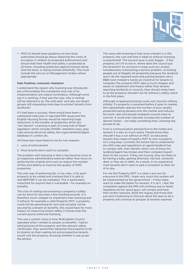

• MHCLG should issue guidance on how local authorities should go about obtaining the views of occupiers in relation to proposed enforcement and ensure that their health and safety is protected at all times, including protection against tenants being told the leave, or being evicted unlawfully. This must include the service on Management Orders where appropriate.

### Kate Faulkner, consumer champion

I understand the reason why licensing was introduced, but unfortunately the complexity and cost of its implementation are clearly horrendous. Although some say it is working, if that was the case, why is renting still be referred to as 'the wild west' and why are tenant groups still requesting more laws to protect tenants from landlords?

If it had been a success, there would have been a substantial reduction in reported PRS issues and the English Housing Survey would be reporting huge reductions in the number of properties which are 'non-decent'. Licensing is part of a long trail of failed legislation which includes HHSRS, retaliation laws, grey rules around electrical safety, the rogue landlord/agent database in London etc.

All these laws have failed to me for two reasons:

- 1. Lack of enforcement
- 2. Most tenants don't want to complain

The problem with licensing is that is has become more of an expensive administrative exercise rather than focus on achieving the original aims such as reduce the number of fires and latterly to improve the quality of HMO properties.

The only way of achieving this, in my view, is for each property to be visited and checked that it is safe to rent BEFORE it can be marketed. This is particularly important for anyone that is vulnerable – for example on benefits.

The cost of visiting and assessing a property's safety can be done for less than a few hundred pounds. It is therefore much cheaper to implement than licensing and if without, for example a valid Property MOT, a property could not be advertised for rent and certainly not be secured by a tenant on benefits, this would have far more impact on improving tenant safety in homes than the current poorly enforced licensing.

This was a system close to how Wokingham Council operated when I rented to people on benefits. I had to send pictures of the property and the relevant safety certificates, they would then advertise the property to let to tenants on their waiting list and prospective tenants would visit the property, knowing whether it was as per the photos.

The issue with licensing is that once a tenant is in the property, the cost and time it takes to enforce licensing is exponential. The second issue is even bigger – if the property isn't fit to live in, where does the council put the tenant(s)? As we know in areas such as London, homelessness is becoming a serious problem, so kicking people out of illegally let properties because the landlord won't do the required work and putting tenants into a B&B room instead is hardly an incentive for tenants to complain.The property MOT idea is much cheaper and easier to implement and means rather than tenants reporting landlords to councils, they should rarely have to as the property shouldn't be let without a safety check in the first place.

Although scrapping licensing could cost councils millions initially, if a property is assessed before it goes to market, this substantially reduces the number of poor quality properties being allowed onto the market and reduces the work cash and people strapped councils have to commit. It could even naturally increase the number of decent homes – not really something that Licensing has proved to do.

From a communication perspective to the media and tenants it is also so much easier. People know they shouldn't buy a car without an MOT, so educating tenants they need a Property MOT to rent a property isn't a big leap. Currently the tenant has to understand the 400 rules and regulations an agent/landlord has to comply with, then identify which one of these the landlord/agent has broken and then complain/report them to the council. If they are moving, they are likely to be having a baby, getting divorced, married, someone died, or they are in debt. As a result, in my experience most tenants don't want to add a complaint to their list of to dos.

For me the Property MOT is a clear a win-win for everyone in the PRS. I hope very much this system will be implemented by the government – if they really want to make life better for tenants. If it isn't, I fear the complaints against the PRS will continue due to failed legislation as the 'good guys' will comply and have their profits reduced, while the rogues and those that just aren't bothering to find out about the laws to let a property will continue to prosper at tenants expense.